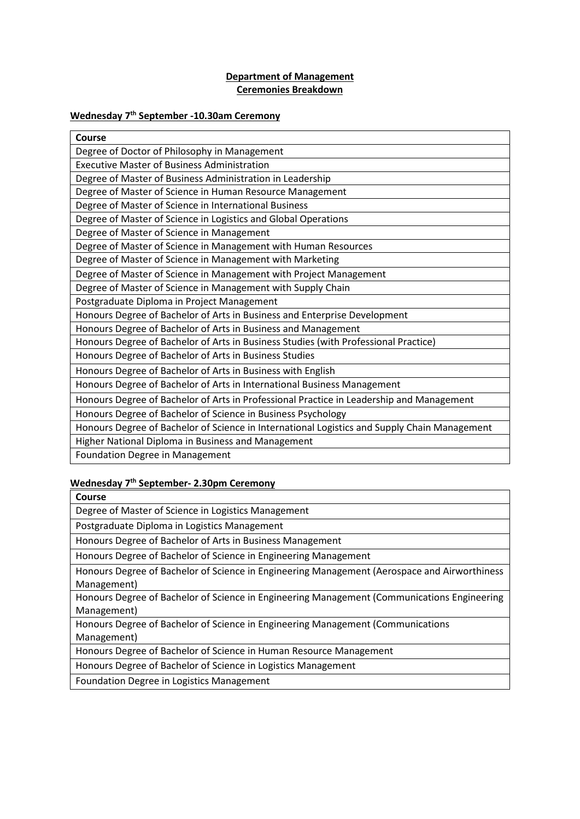## **Department of Management Ceremonies Breakdown**

## **Wednesday 7th September -10.30am Ceremony**

| Course                                                                                       |
|----------------------------------------------------------------------------------------------|
| Degree of Doctor of Philosophy in Management                                                 |
| <b>Executive Master of Business Administration</b>                                           |
| Degree of Master of Business Administration in Leadership                                    |
| Degree of Master of Science in Human Resource Management                                     |
| Degree of Master of Science in International Business                                        |
| Degree of Master of Science in Logistics and Global Operations                               |
| Degree of Master of Science in Management                                                    |
| Degree of Master of Science in Management with Human Resources                               |
| Degree of Master of Science in Management with Marketing                                     |
| Degree of Master of Science in Management with Project Management                            |
| Degree of Master of Science in Management with Supply Chain                                  |
| Postgraduate Diploma in Project Management                                                   |
| Honours Degree of Bachelor of Arts in Business and Enterprise Development                    |
| Honours Degree of Bachelor of Arts in Business and Management                                |
| Honours Degree of Bachelor of Arts in Business Studies (with Professional Practice)          |
| Honours Degree of Bachelor of Arts in Business Studies                                       |
| Honours Degree of Bachelor of Arts in Business with English                                  |
| Honours Degree of Bachelor of Arts in International Business Management                      |
| Honours Degree of Bachelor of Arts in Professional Practice in Leadership and Management     |
| Honours Degree of Bachelor of Science in Business Psychology                                 |
| Honours Degree of Bachelor of Science in International Logistics and Supply Chain Management |
| Higher National Diploma in Business and Management                                           |
| <b>Foundation Degree in Management</b>                                                       |

## **Wednesday 7th September- 2.30pm Ceremony**

| Course                                                                                       |
|----------------------------------------------------------------------------------------------|
| Degree of Master of Science in Logistics Management                                          |
| Postgraduate Diploma in Logistics Management                                                 |
| Honours Degree of Bachelor of Arts in Business Management                                    |
| Honours Degree of Bachelor of Science in Engineering Management                              |
| Honours Degree of Bachelor of Science in Engineering Management (Aerospace and Airworthiness |
| Management)                                                                                  |
| Honours Degree of Bachelor of Science in Engineering Management (Communications Engineering  |
| Management)                                                                                  |
| Honours Degree of Bachelor of Science in Engineering Management (Communications              |
| Management)                                                                                  |
| Honours Degree of Bachelor of Science in Human Resource Management                           |
| Honours Degree of Bachelor of Science in Logistics Management                                |
|                                                                                              |

Foundation Degree in Logistics Management